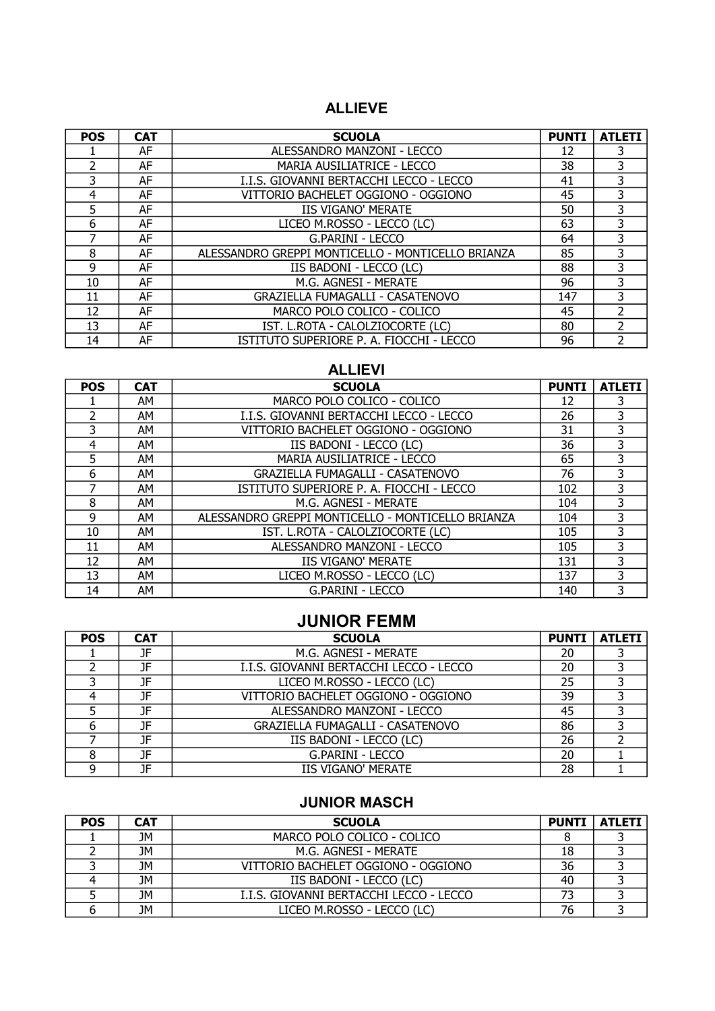### ALLIEVE

| <b>POS</b> | <b>CAT</b> | <b>SCUOLA</b>                                     | <b>PUNTI</b> | <b>ATLETI</b>  |
|------------|------------|---------------------------------------------------|--------------|----------------|
|            | AF         | ALESSANDRO MANZONI - LECCO                        | 12           | 3              |
|            | AF         | <b>MARIA AUSILIATRICE - LECCO</b>                 | 38           | 3              |
| 3          | AF         | I.I.S. GIOVANNI BERTACCHI LECCO - LECCO           | 41           | 3              |
| 4          | AF         | VITTORIO BACHELET OGGIONO - OGGIONO               | 45           | 3              |
| 5          | AF         | <b>IIS VIGANO' MERATE</b>                         | 50           | 3              |
| 6          | AF         | LICEO M.ROSSO - LECCO (LC)                        | 63           | 3              |
|            | AF         | G.PARINI - LECCO                                  | 64           | 3              |
| 8          | AF         | ALESSANDRO GREPPI MONTICELLO - MONTICELLO BRIANZA | 85           | 3              |
| 9          | AF         | IIS BADONI - LECCO (LC)                           | 88           | 3              |
| 10         | AF         | M.G. AGNESI - MERATE                              | 96           | 3              |
| 11         | AF         | <b>GRAZIELLA FUMAGALLI - CASATENOVO</b>           | 147          | 3              |
| 12         | AF         | MARCO POLO COLICO - COLICO                        | 45           | $\mathcal{P}$  |
| 13         | AF         | IST. L.ROTA - CALOLZIOCORTE (LC)                  | 80           | $\mathcal{P}$  |
| 14         | AF         | ISTITUTO SUPERIORE P. A. FIOCCHI - LECCO          | 96           | $\overline{2}$ |

## ALLIEVI

| <b>POS</b> | <b>CAT</b> | <b>SCUOLA</b>                                     | <b>PUNTI</b> | <b>ATLETI</b> |
|------------|------------|---------------------------------------------------|--------------|---------------|
|            | AМ         | MARCO POLO COLICO - COLICO                        | 12           | 3             |
| フ          | AМ         | I.I.S. GIOVANNI BERTACCHI LECCO - LECCO           | 26           | 3             |
| 3          | AΜ         | VITTORIO BACHELET OGGIONO - OGGIONO               | 31           | 3             |
| 4          | AМ         | IIS BADONI - LECCO (LC)                           | 36           | 3             |
| 5          | AМ         | MARIA AUSILIATRICE - LECCO                        | 65           | 3             |
| 6          | AМ         | <b>GRAZIELLA FUMAGALLI - CASATENOVO</b>           | 76           | 3             |
|            | AМ         | ISTITUTO SUPERIORE P. A. FIOCCHI - LECCO          | 102          | 3             |
| 8          | AM         | M.G. AGNESI - MERATE                              | 104          | 3             |
| 9          | AМ         | ALESSANDRO GREPPI MONTICELLO - MONTICELLO BRIANZA | 104          | 3             |
| 10         | AM         | IST. L.ROTA - CALOLZIOCORTE (LC)                  | 105          | 3             |
| 11         | AM         | ALESSANDRO MANZONI - LECCO                        | 105          | 3             |
| 12         | AM         | <b>IIS VIGANO' MERATE</b>                         | 131          | 3             |
| 13         | AM         | LICEO M.ROSSO - LECCO (LC)                        | 137          | 3             |
| 14         | AΜ         | G.PARINI - LECCO                                  | 140          | 3             |

# JUNIOR FEMM

| <b>POS</b> | <b>CAT</b> | <b>SCUOLA</b>                           | <b>PUNTI</b> | <b>ATLETI</b> |
|------------|------------|-----------------------------------------|--------------|---------------|
|            | JF         | M.G. AGNESI - MERATE                    | 20           |               |
|            | JF         | I.I.S. GIOVANNI BERTACCHI LECCO - LECCO | 20           |               |
|            | JF         | LICEO M.ROSSO - LECCO (LC)              | 25           |               |
|            | JF         | VITTORIO BACHELET OGGIONO - OGGIONO     | 39           |               |
|            | JF         | ALESSANDRO MANZONI - LECCO              | 45           |               |
|            | <b>JF</b>  | <b>GRAZIELLA FUMAGALLI - CASATENOVO</b> | 86           |               |
|            | JF         | IIS BADONI - LECCO (LC)                 | 26           |               |
|            | JF         | <b>G.PARINI - LECCO</b>                 | 20           |               |
|            | JF         | <b>IIS VIGANO' MERATE</b>               | 28           |               |

#### JUNIOR MASCH

| <b>POS</b> | <b>CAT</b> | <b>SCUOLA</b>                           | <b>PUNTI</b> | <b>ATLETI</b> |
|------------|------------|-----------------------------------------|--------------|---------------|
|            | JM         | MARCO POLO COLICO - COLICO              |              |               |
|            | JM         | M.G. AGNESI - MERATE                    | 18           |               |
|            | JM         | VITTORIO BACHELET OGGIONO - OGGIONO     | 36           |               |
|            | JM         | IIS BADONI - LECCO (LC)                 | 40           |               |
|            | JM         | I.I.S. GIOVANNI BERTACCHI LECCO - LECCO |              |               |
|            | JM         | LICEO M.ROSSO - LECCO (LC)              | 76           |               |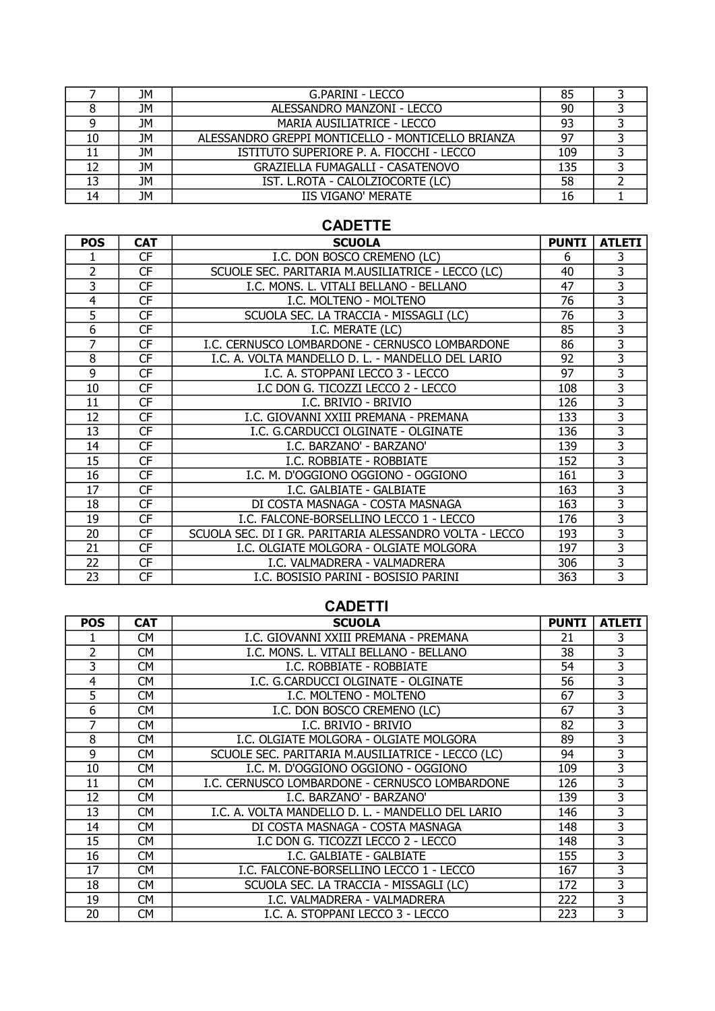|    | JM        | G.PARINI - LECCO                                  | 85  |  |
|----|-----------|---------------------------------------------------|-----|--|
|    | JM        | ALESSANDRO MANZONI - LECCO                        | 90  |  |
|    | JМ        | MARIA AUSILIATRICE - LECCO                        | 93  |  |
| 10 | <b>JM</b> | ALESSANDRO GREPPI MONTICELLO - MONTICELLO BRIANZA | 97  |  |
|    | JM        | ISTITUTO SUPERIORE P. A. FIOCCHI - LECCO          | 109 |  |
| 12 | JМ        | GRAZIELLA FUMAGALLI - CASATENOVO                  | 135 |  |
| 13 | <b>JM</b> | IST. L.ROTA - CALOLZIOCORTE (LC)                  | 58  |  |
| 14 | JМ        | <b>IIS VIGANO' MERATE</b>                         | 16  |  |

#### CADETTE

| <b>POS</b>     | <b>CAT</b> | <b>SCUOLA</b>                                           | <b>PUNTI</b> | <b>ATLETI</b>           |
|----------------|------------|---------------------------------------------------------|--------------|-------------------------|
|                | <b>CF</b>  | I.C. DON BOSCO CREMENO (LC)                             | 6            | 3                       |
| $\overline{2}$ | CF         | SCUOLE SEC. PARITARIA M.AUSILIATRICE - LECCO (LC)       | 40           | 3                       |
| 3              | <b>CF</b>  | I.C. MONS. L. VITALI BELLANO - BELLANO                  | 47           | $\overline{3}$          |
| 4              | <b>CF</b>  | I.C. MOLTENO - MOLTENO                                  | 76           | 3                       |
| 5              | <b>CF</b>  | SCUOLA SEC. LA TRACCIA - MISSAGLI (LC)                  | 76           | 3                       |
| 6              | <b>CF</b>  | I.C. MERATE (LC)                                        | 85           | $\overline{\mathbf{3}}$ |
| 7              | CF         | I.C. CERNUSCO LOMBARDONE - CERNUSCO LOMBARDONE          | 86           | 3                       |
| 8              | <b>CF</b>  | I.C. A. VOLTA MANDELLO D. L. - MANDELLO DEL LARIO       | 92           | 3                       |
| 9              | <b>CF</b>  | I.C. A. STOPPANI LECCO 3 - LECCO                        | 97           | $\overline{3}$          |
| 10             | <b>CF</b>  | I.C DON G. TICOZZI LECCO 2 - LECCO                      | 108          | 3                       |
| 11             | <b>CF</b>  | I.C. BRIVIO - BRIVIO                                    | 126          | 3                       |
| 12             | <b>CF</b>  | I.C. GIOVANNI XXIII PREMANA - PREMANA                   | 133          | 3                       |
| 13             | <b>CF</b>  | I.C. G.CARDUCCI OLGINATE - OLGINATE                     | 136          | 3                       |
| 14             | <b>CF</b>  | I.C. BARZANO' - BARZANO'                                | 139          | 3                       |
| 15             | CF         | I.C. ROBBIATE - ROBBIATE                                | 152          | $\overline{\mathbf{3}}$ |
| 16             | <b>CF</b>  | I.C. M. D'OGGIONO OGGIONO - OGGIONO                     | 161          | 3                       |
| 17             | <b>CF</b>  | I.C. GALBIATE - GALBIATE                                | 163          | 3                       |
| 18             | <b>CF</b>  | DI COSTA MASNAGA - COSTA MASNAGA                        | 163          | 3                       |
| 19             | <b>CF</b>  | I.C. FALCONE-BORSELLINO LECCO 1 - LECCO                 | 176          | 3                       |
| 20             | CF         | SCUOLA SEC. DI I GR. PARITARIA ALESSANDRO VOLTA - LECCO | 193          | $\overline{3}$          |
| 21             | <b>CF</b>  | I.C. OLGIATE MOLGORA - OLGIATE MOLGORA                  | 197          | 3                       |
| 22             | <b>CF</b>  | I.C. VALMADRERA - VALMADRERA                            | 306          | 3                       |
| 23             | <b>CF</b>  | I.C. BOSISIO PARINI - BOSISIO PARINI                    | 363          | 3                       |

## CADETTI

| <b>POS</b>     | <b>CAT</b> | <b>SCUOLA</b>                                     | <b>PUNTI</b> | <b>ATLETI</b> |
|----------------|------------|---------------------------------------------------|--------------|---------------|
|                | СM         | I.C. GIOVANNI XXIII PREMANA - PREMANA             | 21           | 3             |
| $\overline{2}$ | СM         | I.C. MONS. L. VITALI BELLANO - BELLANO            | 38           | 3             |
| 3              | <b>CM</b>  | I.C. ROBBIATE - ROBBIATE                          | 54           | 3             |
| 4              | <b>CM</b>  | I.C. G.CARDUCCI OLGINATE - OLGINATE               | 56           | 3             |
| 5              | СM         | I.C. MOLTENO - MOLTENO                            | 67           | 3             |
| 6              | СM         | I.C. DON BOSCO CREMENO (LC)                       | 67           | 3             |
| 7              | <b>CM</b>  | I.C. BRIVIO - BRIVIO                              | 82           | 3             |
| 8              | <b>CM</b>  | I.C. OLGIATE MOLGORA - OLGIATE MOLGORA            | 89           | 3             |
| 9              | СM         | SCUOLE SEC. PARITARIA M.AUSILIATRICE - LECCO (LC) | 94           | 3             |
| 10             | СM         | I.C. M. D'OGGIONO OGGIONO - OGGIONO               | 109          | 3             |
| 11             | СM         | I.C. CERNUSCO LOMBARDONE - CERNUSCO LOMBARDONE    | 126          | 3             |
| 12             | СM         | I.C. BARZANO' - BARZANO'                          | 139          | 3             |
| 13             | СM         | I.C. A. VOLTA MANDELLO D. L. - MANDELLO DEL LARIO | 146          | 3             |
| 14             | СM         | DI COSTA MASNAGA - COSTA MASNAGA                  | 148          | 3             |
| 15             | СM         | I.C DON G. TICOZZI LECCO 2 - LECCO                | 148          | 3             |
| 16             | СM         | I.C. GALBIATE - GALBIATE                          | 155          | 3             |
| 17             | СM         | I.C. FALCONE-BORSELLINO LECCO 1 - LECCO           | 167          | 3             |
| 18             | СM         | SCUOLA SEC. LA TRACCIA - MISSAGLI (LC)            | 172          | 3             |
| 19             | СM         | I.C. VALMADRERA - VALMADRERA                      | 222          | 3             |
| 20             | СM         | I.C. A. STOPPANI LECCO 3 - LECCO                  | 223          | 3             |